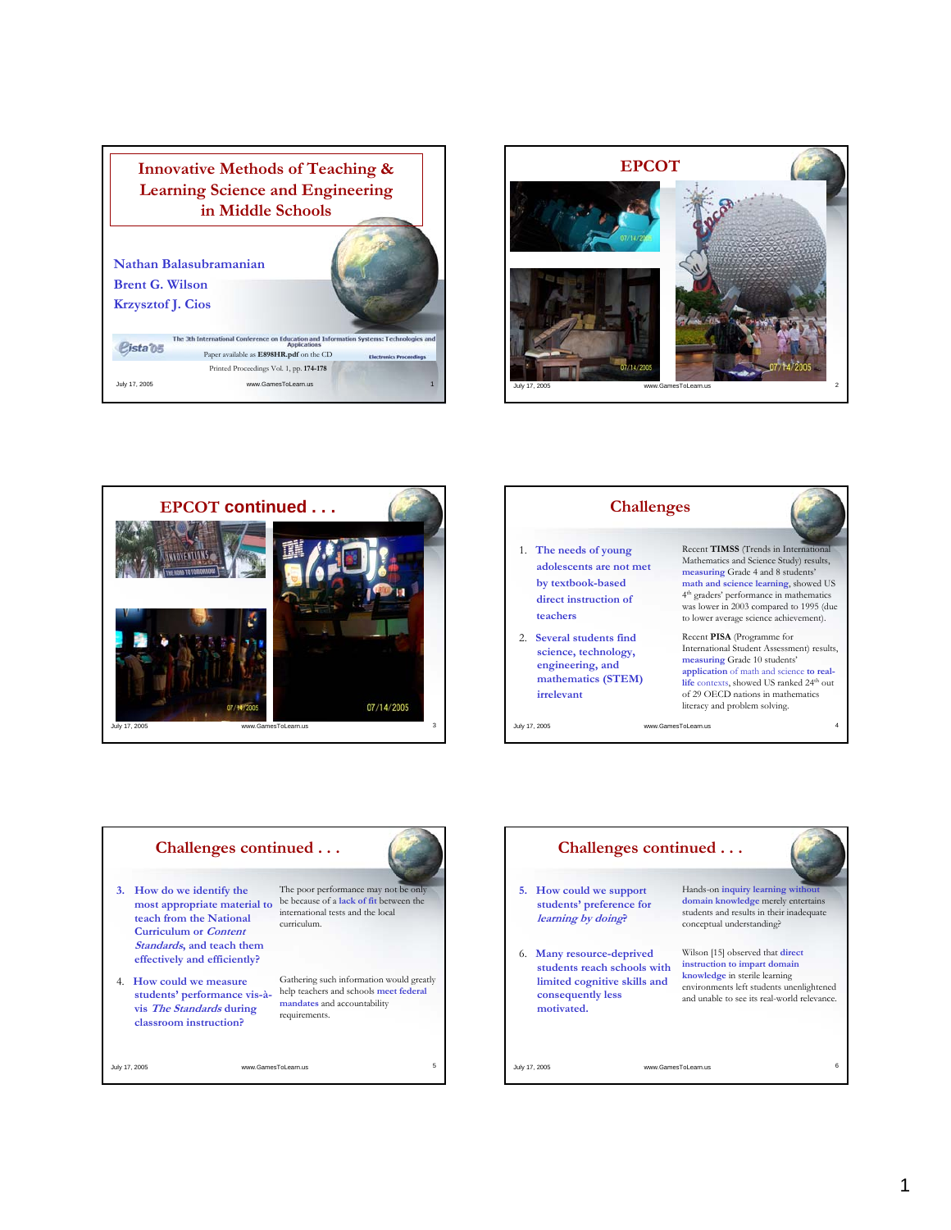









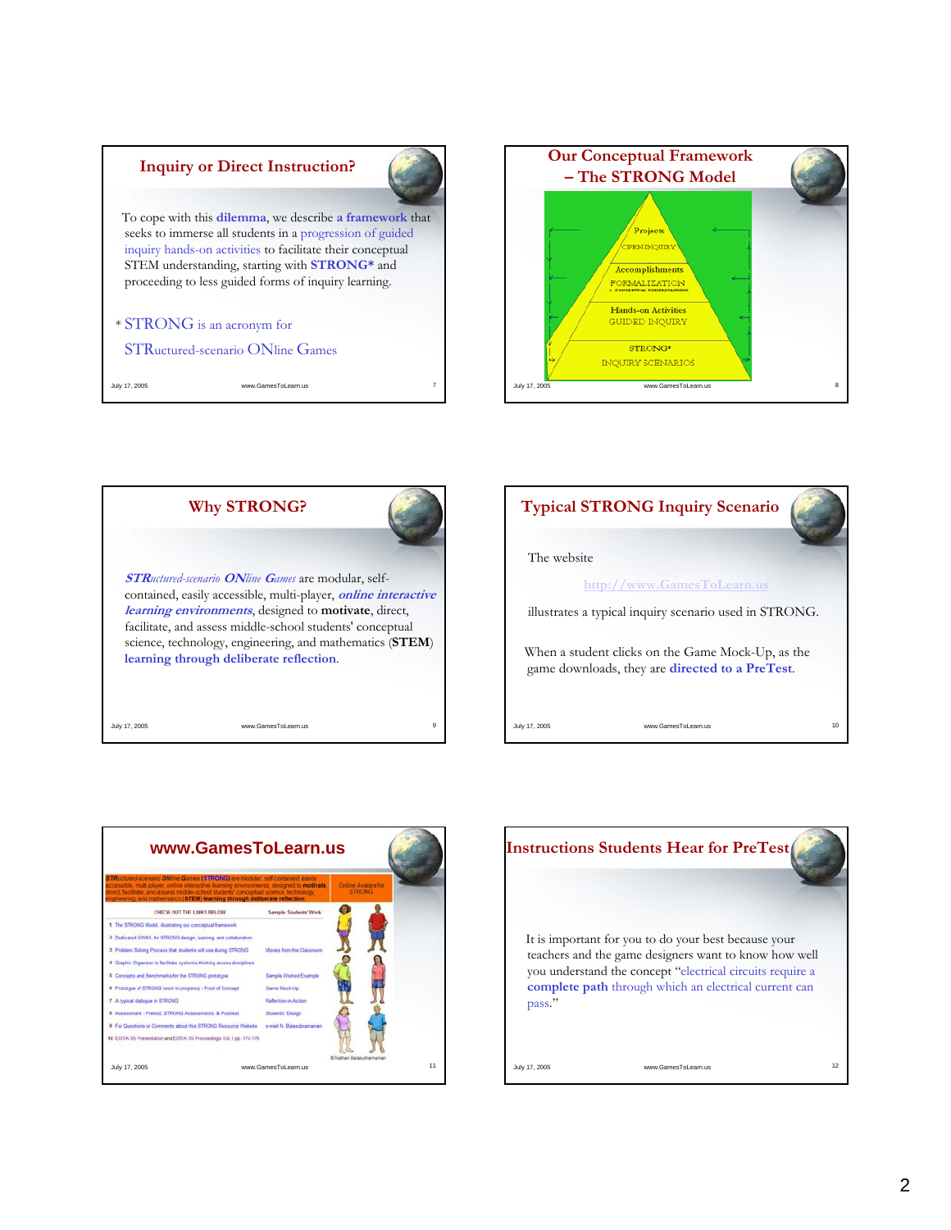## **Inquiry or Direct Instruction?**



To cope with this **dilemma**, we describe **a framework** that seeks to immerse all students in a progression of guided inquiry hands-on activities to facilitate their conceptual STEM understanding, starting with **STRONG\*** and proceeding to less guided forms of inquiry learning.

## \* STRONG is an acronym for

STRuctured-scenario ONline Games

July 17, 2005 **www.GamesToLearn.us** 









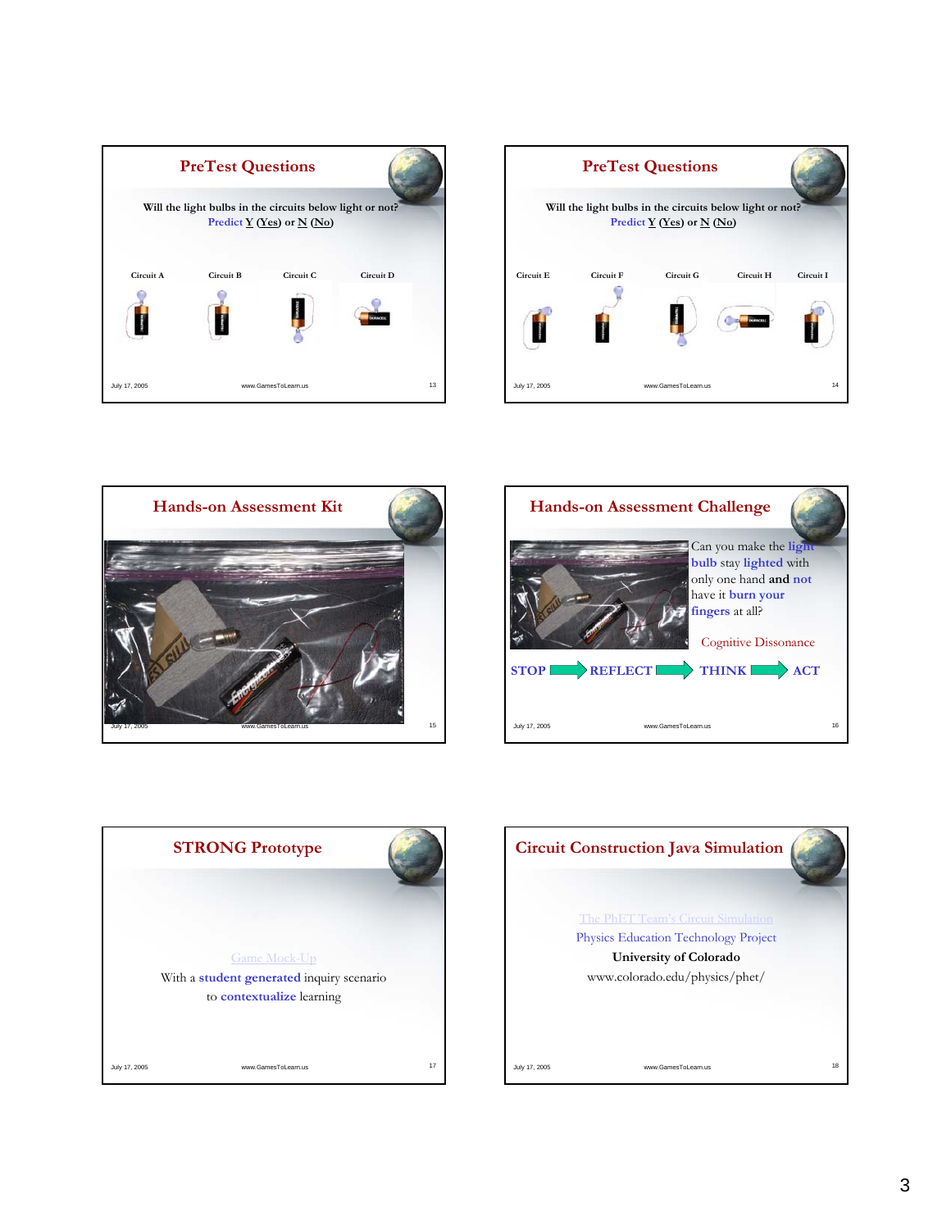









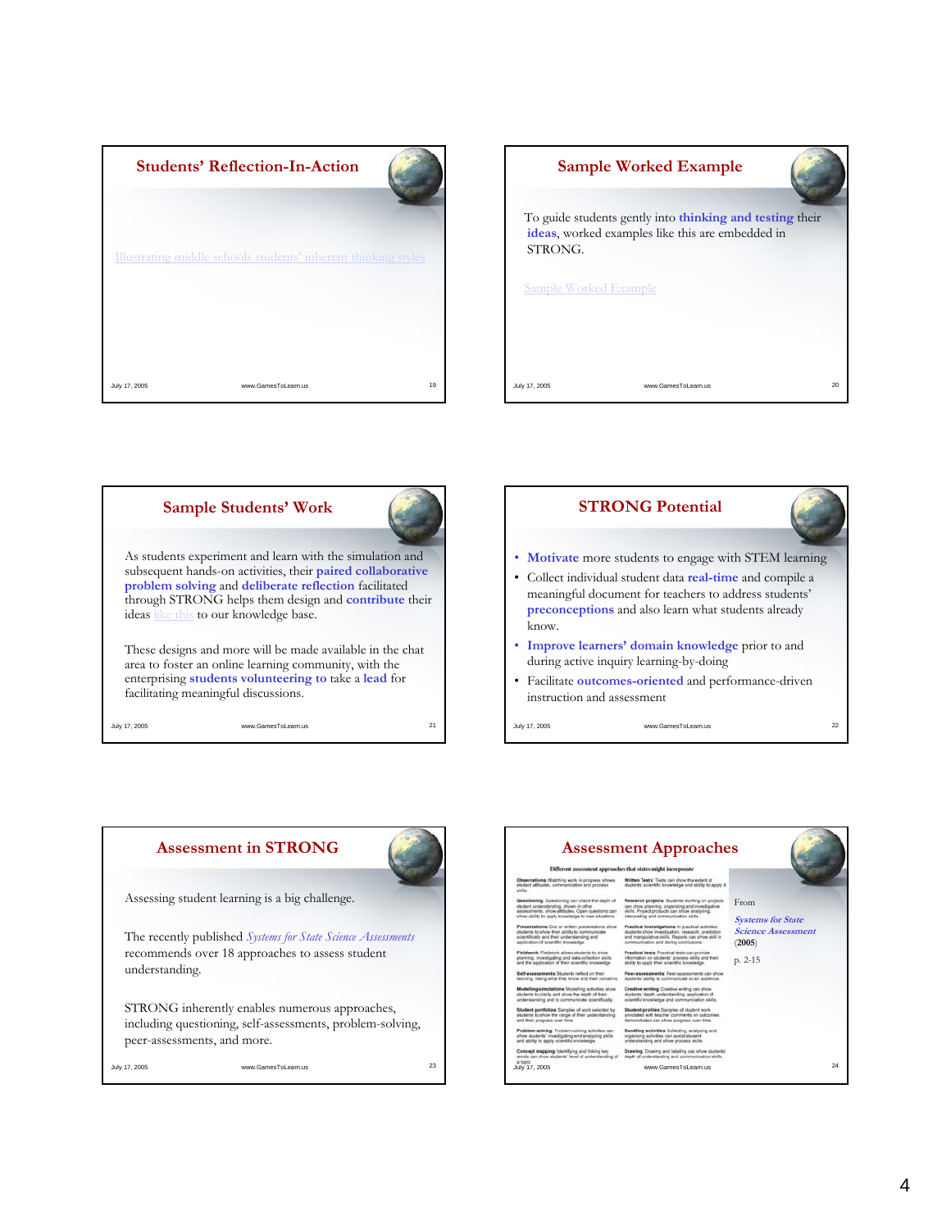







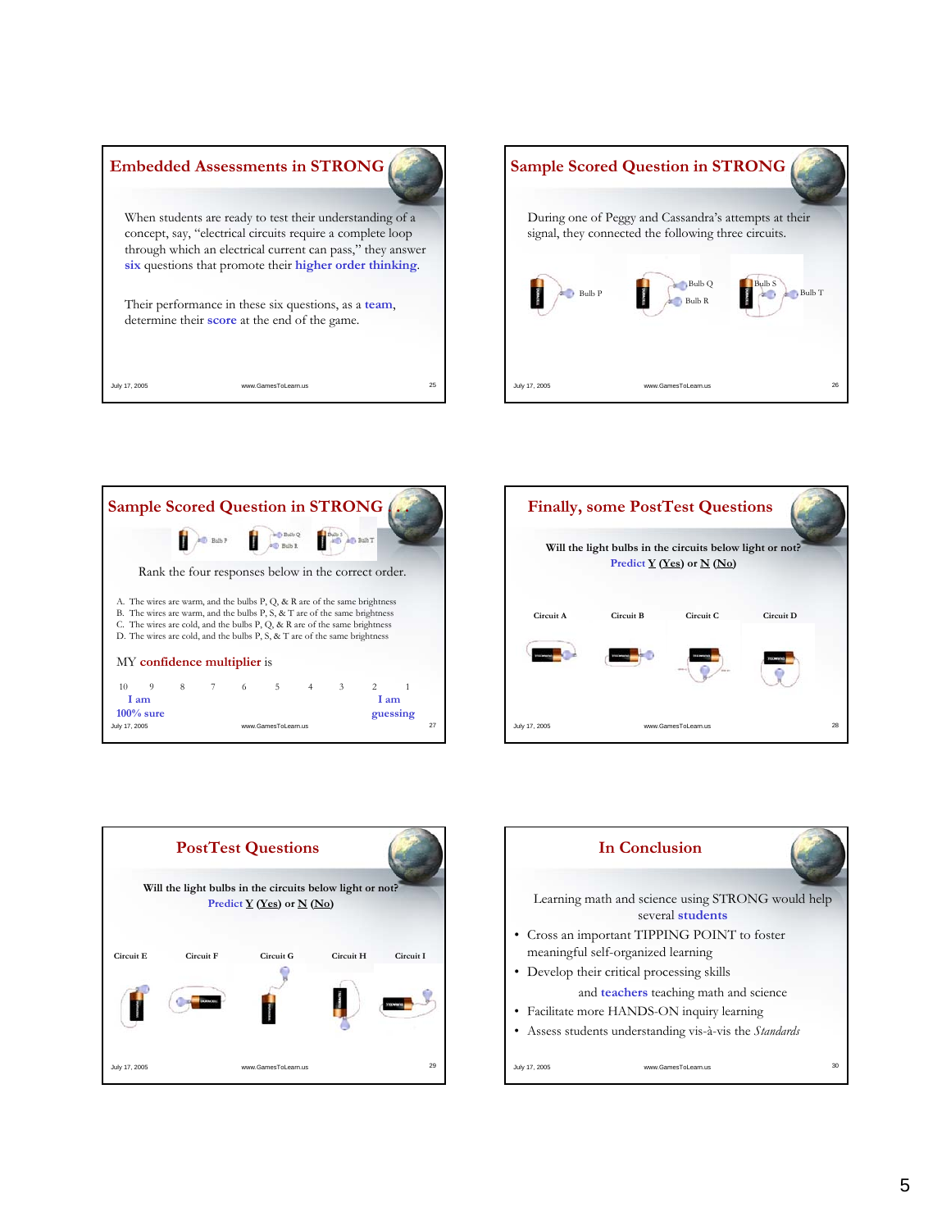| <b>Embedded Assessments in STRONG</b>                                                                                                                                                                                                           |    |
|-------------------------------------------------------------------------------------------------------------------------------------------------------------------------------------------------------------------------------------------------|----|
| When students are ready to test their understanding of a<br>concept, say, "electrical circuits require a complete loop<br>through which an electrical current can pass," they answer<br>six questions that promote their higher order thinking. |    |
| Their performance in these six questions, as a team,<br>determine their <b>score</b> at the end of the game.                                                                                                                                    |    |
| July 17, 2005<br>www.GamesToLearn.us                                                                                                                                                                                                            | 25 |